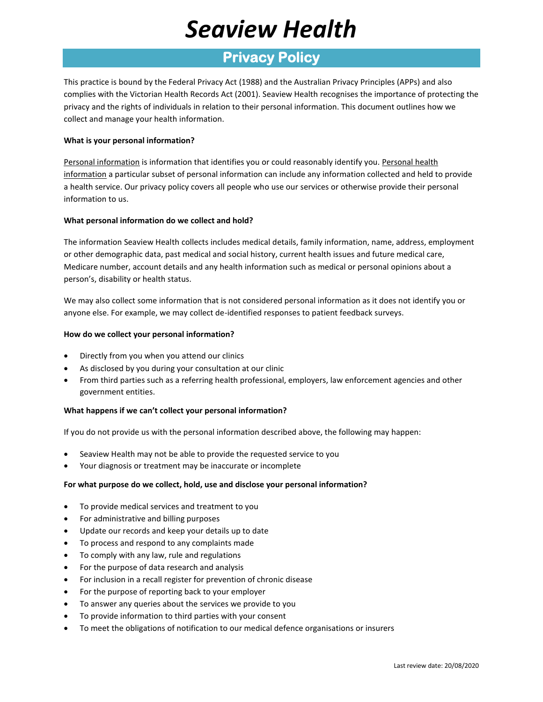# *Seaview Health*

### **Privacy Policy**

This practice is bound by the Federal Privacy Act (1988) and the Australian Privacy Principles (APPs) and also complies with the Victorian Health Records Act (2001). Seaview Health recognises the importance of protecting the privacy and the rights of individuals in relation to their personal information. This document outlines how we collect and manage your health information.

### **What is your personal information?**

Personal information is information that identifies you or could reasonably identify you. Personal health information a particular subset of personal information can include any information collected and held to provide a health service. Our privacy policy covers all people who use our services or otherwise provide their personal information to us.

### **What personal information do we collect and hold?**

The information Seaview Health collects includes medical details, family information, name, address, employment or other demographic data, past medical and social history, current health issues and future medical care, Medicare number, account details and any health information such as medical or personal opinions about a person's, disability or health status.

We may also collect some information that is not considered personal information as it does not identify you or anyone else. For example, we may collect de-identified responses to patient feedback surveys.

### **How do we collect your personal information?**

- Directly from you when you attend our clinics
- As disclosed by you during your consultation at our clinic
- From third parties such as a referring health professional, employers, law enforcement agencies and other government entities.

### **What happens if we can't collect your personal information?**

If you do not provide us with the personal information described above, the following may happen:

- Seaview Health may not be able to provide the requested service to you
- Your diagnosis or treatment may be inaccurate or incomplete

### **For what purpose do we collect, hold, use and disclose your personal information?**

- To provide medical services and treatment to you
- For administrative and billing purposes
- Update our records and keep your details up to date
- To process and respond to any complaints made
- To comply with any law, rule and regulations
- For the purpose of data research and analysis
- For inclusion in a recall register for prevention of chronic disease
- For the purpose of reporting back to your employer
- To answer any queries about the services we provide to you
- To provide information to third parties with your consent
- To meet the obligations of notification to our medical defence organisations or insurers